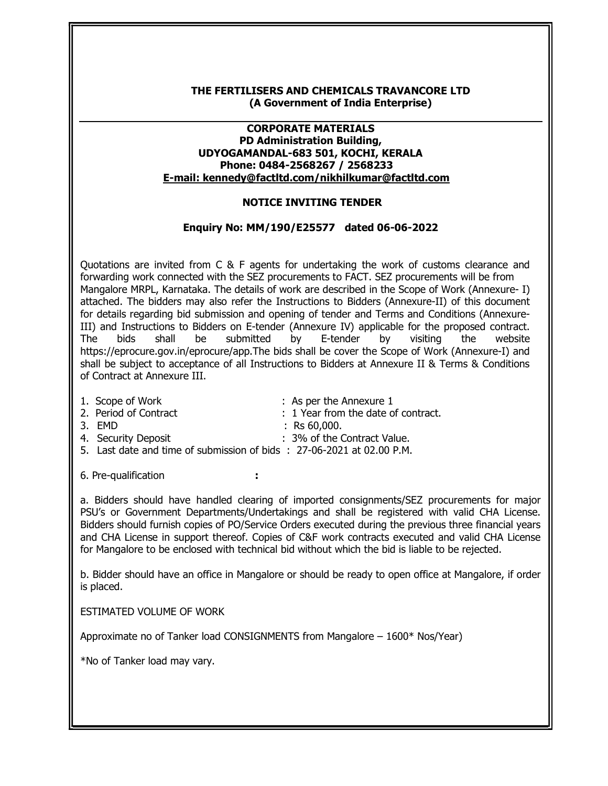## THE FERTILISERS AND CHEMICALS TRAVANCORE LTD (A Government of India Enterprise)

## CORPORATE MATERIALS PD Administration Building, UDYOGAMANDAL-683 501, KOCHI, KERALA Phone: 0484-2568267 / 2568233 E-mail: kennedy@factltd.com/nikhilkumar@factltd.com

## NOTICE INVITING TENDER

## Enquiry No: MM/190/E25577 dated 06-06-2022

Quotations are invited from C & F agents for undertaking the work of customs clearance and forwarding work connected with the SEZ procurements to FACT. SEZ procurements will be from Mangalore MRPL, Karnataka. The details of work are described in the Scope of Work (Annexure- I) attached. The bidders may also refer the Instructions to Bidders (Annexure-II) of this document for details regarding bid submission and opening of tender and Terms and Conditions (Annexure-III) and Instructions to Bidders on E-tender (Annexure IV) applicable for the proposed contract. The bids shall be submitted by E-tender by visiting the website https://eprocure.gov.in/eprocure/app.The bids shall be cover the Scope of Work (Annexure-I) and shall be subject to acceptance of all Instructions to Bidders at Annexure II & Terms & Conditions of Contract at Annexure III.

1. Scope of Work : As per the Annexure 1 2. Period of Contract **in the set of contract** in the date of contract. 3. EMD : Rs 60,000. 4. Security Deposit : 3% of the Contract Value. 5. Last date and time of submission of bids : 27-06-2021 at 02.00 P.M.

6. Pre-qualification :

a. Bidders should have handled clearing of imported consignments/SEZ procurements for major PSU's or Government Departments/Undertakings and shall be registered with valid CHA License. Bidders should furnish copies of PO/Service Orders executed during the previous three financial years and CHA License in support thereof. Copies of C&F work contracts executed and valid CHA License for Mangalore to be enclosed with technical bid without which the bid is liable to be rejected.

b. Bidder should have an office in Mangalore or should be ready to open office at Mangalore, if order is placed.

ESTIMATED VOLUME OF WORK

Approximate no of Tanker load CONSIGNMENTS from Mangalore – 1600\* Nos/Year)

\*No of Tanker load may vary.